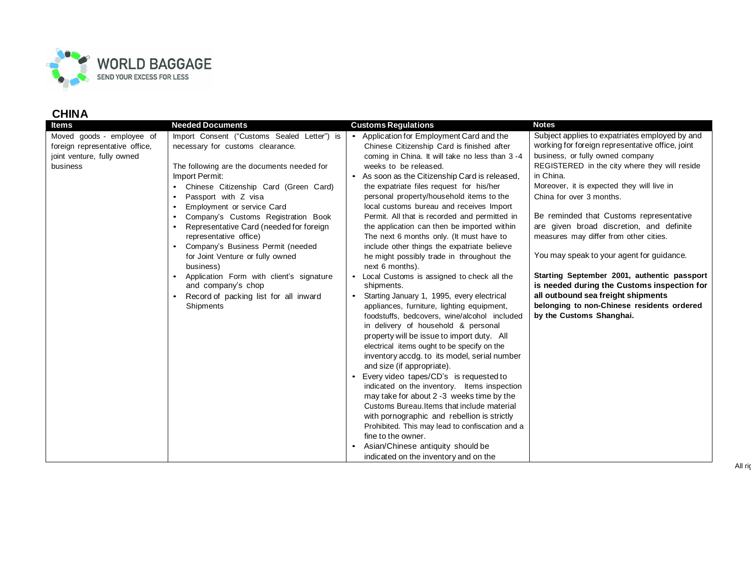

| Items                                                                                                 | <b>Needed Documents</b>                                                                                                                                                                                                                                                                                                                                                                                                                                                                                                                                                  | <b>Customs Regulations</b>                                                                                                                                                                                                                                                                                                                                                                                                                                                                                                                                                                                                                                                                                                                                                                                                                                                                                                                                                                                                                                                                                                                                                                                                                                                                                                                                                           | <b>Notes</b>                                                                                                                                                                                                                                                                                                                                                                                                                                                                                                                                                                                                                                                               |
|-------------------------------------------------------------------------------------------------------|--------------------------------------------------------------------------------------------------------------------------------------------------------------------------------------------------------------------------------------------------------------------------------------------------------------------------------------------------------------------------------------------------------------------------------------------------------------------------------------------------------------------------------------------------------------------------|--------------------------------------------------------------------------------------------------------------------------------------------------------------------------------------------------------------------------------------------------------------------------------------------------------------------------------------------------------------------------------------------------------------------------------------------------------------------------------------------------------------------------------------------------------------------------------------------------------------------------------------------------------------------------------------------------------------------------------------------------------------------------------------------------------------------------------------------------------------------------------------------------------------------------------------------------------------------------------------------------------------------------------------------------------------------------------------------------------------------------------------------------------------------------------------------------------------------------------------------------------------------------------------------------------------------------------------------------------------------------------------|----------------------------------------------------------------------------------------------------------------------------------------------------------------------------------------------------------------------------------------------------------------------------------------------------------------------------------------------------------------------------------------------------------------------------------------------------------------------------------------------------------------------------------------------------------------------------------------------------------------------------------------------------------------------------|
| Moved goods - employee of<br>foreign representative office,<br>joint venture, fully owned<br>business | Import Consent ("Customs Sealed Letter") is<br>necessary for customs clearance.<br>The following are the documents needed for<br>Import Permit:<br>Chinese Citizenship Card (Green Card)<br>Passport with Z visa<br>Employment or service Card<br>Company's Customs Registration Book<br>Representative Card (needed for foreign<br>representative office)<br>Company's Business Permit (needed<br>for Joint Venture or fully owned<br>business)<br>Application Form with client's signature<br>and company's chop<br>Record of packing list for all inward<br>Shipments | Application for Employment Card and the<br>$\bullet$<br>Chinese Citizenship Card is finished after<br>coming in China. It will take no less than 3 -4<br>weeks to be released.<br>• As soon as the Citizenship Card is released,<br>the expatriate files request for his/her<br>personal property/household items to the<br>local customs bureau and receives Import<br>Permit. All that is recorded and permitted in<br>the application can then be imported within<br>The next 6 months only. (It must have to<br>include other things the expatriate believe<br>he might possibly trade in throughout the<br>next 6 months).<br>Local Customs is assigned to check all the<br>$\bullet$<br>shipments.<br>Starting January 1, 1995, every electrical<br>appliances, furniture, lighting equipment,<br>foodstuffs, bedcovers, wine/alcohol included<br>in delivery of household & personal<br>property will be issue to import duty. All<br>electrical items ought to be specify on the<br>inventory accdg. to its model, serial number<br>and size (if appropriate).<br>Every video tapes/CD's is requested to<br>indicated on the inventory. Items inspection<br>may take for about 2 -3 weeks time by the<br>Customs Bureau. Items that include material<br>with pornographic and rebellion is strictly<br>Prohibited. This may lead to confiscation and a<br>fine to the owner. | Subject applies to expatriates employed by and<br>working for foreign representative office, joint<br>business, or fully owned company<br>REGISTERED in the city where they will reside<br>in China.<br>Moreover, it is expected they will live in<br>China for over 3 months.<br>Be reminded that Customs representative<br>are given broad discretion, and definite<br>measures may differ from other cities.<br>You may speak to your agent for guidance.<br>Starting September 2001, authentic passport<br>is needed during the Customs inspection for<br>all outbound sea freight shipments<br>belonging to non-Chinese residents ordered<br>by the Customs Shanghai. |
|                                                                                                       |                                                                                                                                                                                                                                                                                                                                                                                                                                                                                                                                                                          | Asian/Chinese antiquity should be                                                                                                                                                                                                                                                                                                                                                                                                                                                                                                                                                                                                                                                                                                                                                                                                                                                                                                                                                                                                                                                                                                                                                                                                                                                                                                                                                    |                                                                                                                                                                                                                                                                                                                                                                                                                                                                                                                                                                                                                                                                            |
|                                                                                                       |                                                                                                                                                                                                                                                                                                                                                                                                                                                                                                                                                                          | indicated on the inventory and on the                                                                                                                                                                                                                                                                                                                                                                                                                                                                                                                                                                                                                                                                                                                                                                                                                                                                                                                                                                                                                                                                                                                                                                                                                                                                                                                                                |                                                                                                                                                                                                                                                                                                                                                                                                                                                                                                                                                                                                                                                                            |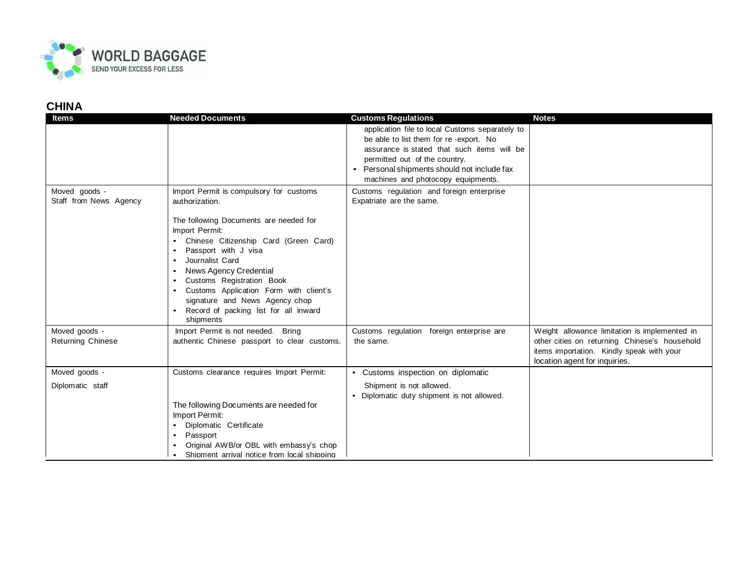

| <b>Items</b>             | <b>Needed Documents</b>                             | <b>Customs Regulations</b>                                                      | <b>Notes</b>                                  |
|--------------------------|-----------------------------------------------------|---------------------------------------------------------------------------------|-----------------------------------------------|
|                          |                                                     | application file to local Customs separately to                                 |                                               |
|                          |                                                     | be able to list them for re-export. No                                          |                                               |
|                          |                                                     | assurance is stated that such items will be                                     |                                               |
|                          |                                                     | permitted out of the country.                                                   |                                               |
|                          |                                                     | Personal shipments should not include fax<br>machines and photocopy equipments. |                                               |
| Moved goods -            | Import Permit is compulsory for customs             | Customs regulation and foreign enterprise                                       |                                               |
| Staff from News Agency   | authorization.                                      | Expatriate are the same.                                                        |                                               |
|                          | The following Documents are needed for              |                                                                                 |                                               |
|                          | Import Permit:                                      |                                                                                 |                                               |
|                          | Chinese Citizenship Card (Green Card)               |                                                                                 |                                               |
|                          | Passport with J visa                                |                                                                                 |                                               |
|                          | Journalist Card                                     |                                                                                 |                                               |
|                          | News Agency Credential<br>Customs Registration Book |                                                                                 |                                               |
|                          | Customs Application Form with client's              |                                                                                 |                                               |
|                          | signature and News Agency chop                      |                                                                                 |                                               |
|                          | Record of packing list for all inward<br>shipments  |                                                                                 |                                               |
| Moved goods -            | Import Permit is not needed. Bring                  | Customs regulation foreign enterprise are                                       | Weight allowance limitation is implemented in |
| <b>Returning Chinese</b> | authentic Chinese passport to clear customs.        | the same.                                                                       | other cities on returning Chinese's household |
|                          |                                                     |                                                                                 | items importation. Kindly speak with your     |
|                          |                                                     |                                                                                 | location agent for inquiries.                 |
| Moved goods -            | Customs clearance requires Import Permit:           | • Customs inspection on diplomatic                                              |                                               |
| Diplomatic staff         |                                                     | Shipment is not allowed.                                                        |                                               |
|                          | The following Documents are needed for              | Diplomatic duty shipment is not allowed.                                        |                                               |
|                          | Import Permit:                                      |                                                                                 |                                               |
|                          | Diplomatic Certificate                              |                                                                                 |                                               |
|                          | Passport<br>$\bullet$                               |                                                                                 |                                               |
|                          | Original AWB/or OBL with embassy's chop             |                                                                                 |                                               |
|                          | Shipment arrival notice from local shipping         |                                                                                 |                                               |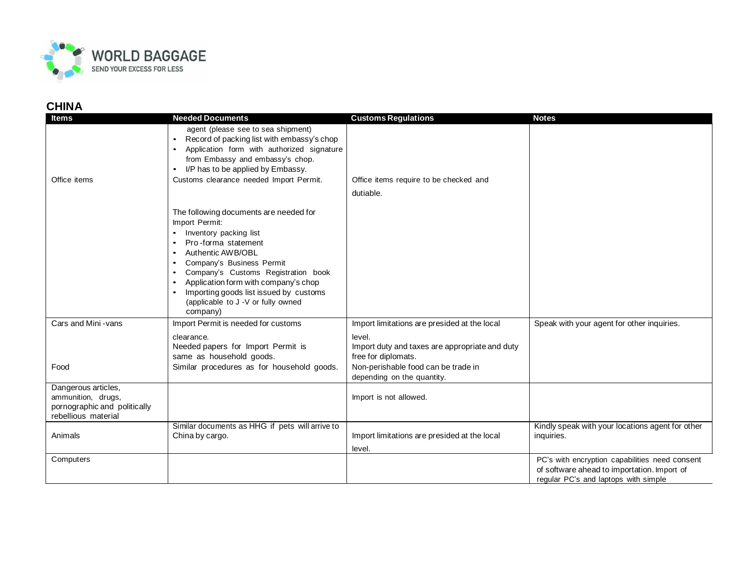

| Items                                                                                            | <b>Needed Documents</b>                                                                                                                                                                                                                                                                                                                                                                                 | <b>Customs Regulations</b>                                                                                                      | <b>Notes</b>                                                                                                                          |
|--------------------------------------------------------------------------------------------------|---------------------------------------------------------------------------------------------------------------------------------------------------------------------------------------------------------------------------------------------------------------------------------------------------------------------------------------------------------------------------------------------------------|---------------------------------------------------------------------------------------------------------------------------------|---------------------------------------------------------------------------------------------------------------------------------------|
| Office items                                                                                     | agent (please see to sea shipment)<br>Record of packing list with embassy's chop<br>$\bullet$<br>Application form with authorized signature<br>$\bullet$<br>from Embassy and embassy's chop.<br>I/P has to be applied by Embassy.<br>$\bullet$<br>Customs clearance needed Import Permit.                                                                                                               | Office items require to be checked and<br>dutiable.                                                                             |                                                                                                                                       |
|                                                                                                  | The following documents are needed for<br>Import Permit:<br>Inventory packing list<br>Pro-forma statement<br>$\bullet$<br>Authentic AWB/OBL<br>$\bullet$<br>Company's Business Permit<br>$\bullet$<br>Company's Customs Registration book<br>$\bullet$<br>Application form with company's chop<br>$\bullet$<br>Importing goods list issued by customs<br>(applicable to J -V or fully owned<br>company) |                                                                                                                                 |                                                                                                                                       |
| Cars and Mini - vans                                                                             | Import Permit is needed for customs<br>clearance.<br>Needed papers for Import Permit is<br>same as household goods.                                                                                                                                                                                                                                                                                     | Import limitations are presided at the local<br>level.<br>Import duty and taxes are appropriate and duty<br>free for diplomats. | Speak with your agent for other inquiries.                                                                                            |
| Food                                                                                             | Similar procedures as for household goods.                                                                                                                                                                                                                                                                                                                                                              | Non-perishable food can be trade in<br>depending on the quantity.                                                               |                                                                                                                                       |
| Dangerous articles,<br>ammunition, drugs,<br>pornographic and politically<br>rebellious material |                                                                                                                                                                                                                                                                                                                                                                                                         | Import is not allowed.                                                                                                          |                                                                                                                                       |
| Animals                                                                                          | Similar documents as HHG if pets will arrive to<br>China by cargo.                                                                                                                                                                                                                                                                                                                                      | Import limitations are presided at the local<br>level.                                                                          | Kindly speak with your locations agent for other<br>inquiries.                                                                        |
| Computers                                                                                        |                                                                                                                                                                                                                                                                                                                                                                                                         |                                                                                                                                 | PC's with encryption capabilities need consent<br>of software ahead to importation. Import of<br>regular PC's and laptops with simple |